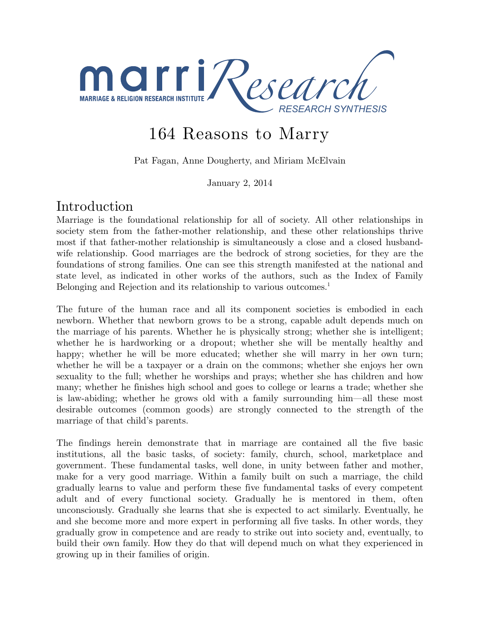

# 164 Reasons to Marry

Pat Fagan, Anne Dougherty, and Miriam McElvain

January 2, 2014

## Introduction

Marriage is the foundational relationship for all of society. All other relationships in society stem from the father-mother relationship, and these other relationships thrive most if that father-mother relationship is simultaneously a close and a closed husbandwife relationship. Good marriages are the bedrock of strong societies, for they are the foundations of strong families. One can see this strength manifested at the national and state level, as indicated in other works of the authors, such as the Index of Family Belonging and Rejection and its relationship to various outcomes.<sup>1</sup>

The future of the human race and all its component societies is embodied in each newborn. Whether that newborn grows to be a strong, capable adult depends much on the marriage of his parents. Whether he is physically strong; whether she is intelligent; whether he is hardworking or a dropout; whether she will be mentally healthy and happy; whether he will be more educated; whether she will marry in her own turn; whether he will be a taxpayer or a drain on the commons; whether she enjoys her own sexuality to the full; whether he worships and prays; whether she has children and how many; whether he finishes high school and goes to college or learns a trade; whether she is law-abiding; whether he grows old with a family surrounding him—all these most desirable outcomes (common goods) are strongly connected to the strength of the marriage of that child's parents.

The findings herein demonstrate that in marriage are contained all the five basic institutions, all the basic tasks, of society: family, church, school, marketplace and government. These fundamental tasks, well done, in unity between father and mother, make for a very good marriage. Within a family built on such a marriage, the child gradually learns to value and perform these five fundamental tasks of every competent adult and of every functional society. Gradually he is mentored in them, often unconsciously. Gradually she learns that she is expected to act similarly. Eventually, he and she become more and more expert in performing all five tasks. In other words, they gradually grow in competence and are ready to strike out into society and, eventually, to build their own family. How they do that will depend much on what they experienced in growing up in their families of origin.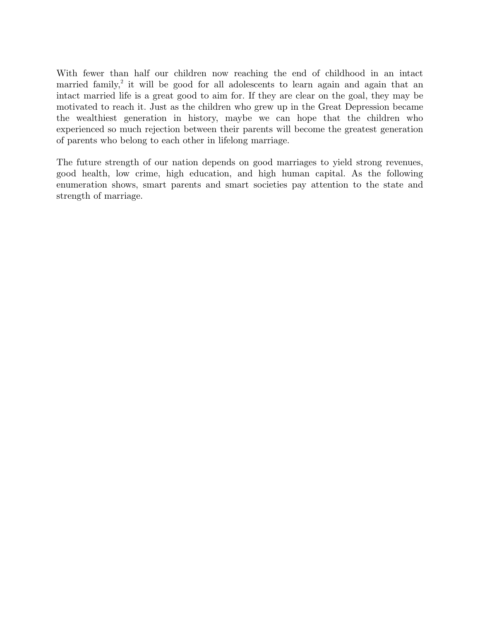With fewer than half our children now reaching the end of childhood in an intact married family,<sup>2</sup> it will be good for all adolescents to learn again and again that an intact married life is a great good to aim for. If they are clear on the goal, they may be motivated to reach it. Just as the children who grew up in the Great Depression became the wealthiest generation in history, maybe we can hope that the children who experienced so much rejection between their parents will become the greatest generation of parents who belong to each other in lifelong marriage.

The future strength of our nation depends on good marriages to yield strong revenues, good health, low crime, high education, and high human capital. As the following enumeration shows, smart parents and smart societies pay attention to the state and strength of marriage.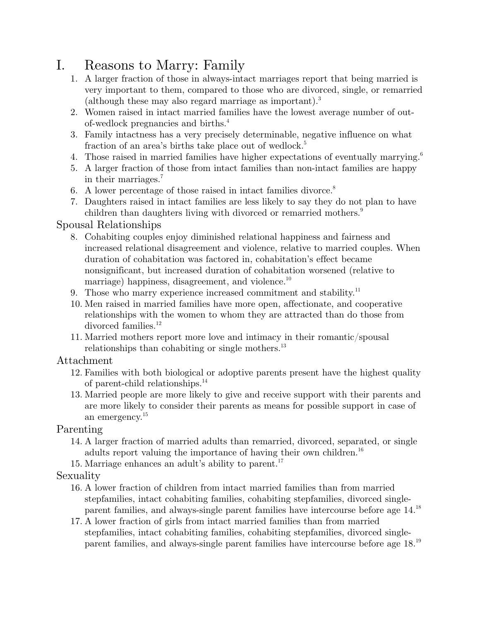# I. Reasons to Marry: Family

- 1. A larger fraction of those in always-intact marriages report that being married is very important to them, compared to those who are divorced, single, or remarried (although these may also regard marriage as important).<sup>3</sup>
- 2. Women raised in intact married families have the lowest average number of outof-wedlock pregnancies and births.4
- 3. Family intactness has a very precisely determinable, negative influence on what fraction of an area's births take place out of wedlock.<sup>5</sup>
- 4. Those raised in married families have higher expectations of eventually marrying.<sup>6</sup>
- 5. A larger fraction of those from intact families than non-intact families are happy in their marriages.7
- 6. A lower percentage of those raised in intact families divorce.<sup>8</sup>
- 7. Daughters raised in intact families are less likely to say they do not plan to have children than daughters living with divorced or remarried mothers.<sup>9</sup>

## Spousal Relationships

- 8. Cohabiting couples enjoy diminished relational happiness and fairness and increased relational disagreement and violence, relative to married couples. When duration of cohabitation was factored in, cohabitation's effect became nonsignificant, but increased duration of cohabitation worsened (relative to marriage) happiness, disagreement, and violence.<sup>10</sup>
- 9. Those who marry experience increased commitment and stability. $11$
- 10. Men raised in married families have more open, affectionate, and cooperative relationships with the women to whom they are attracted than do those from divorced families.<sup>12</sup>
- 11. Married mothers report more love and intimacy in their romantic/spousal relationships than cohabiting or single mothers. $^{13}$

## Attachment

- 12. Families with both biological or adoptive parents present have the highest quality of parent-child relationships.14
- 13. Married people are more likely to give and receive support with their parents and are more likely to consider their parents as means for possible support in case of an emergency.15

## Parenting

- 14. A larger fraction of married adults than remarried, divorced, separated, or single adults report valuing the importance of having their own children.<sup>16</sup>
- 15. Marriage enhances an adult's ability to parent.<sup>17</sup>

## Sexuality

- 16. A lower fraction of children from intact married families than from married stepfamilies, intact cohabiting families, cohabiting stepfamilies, divorced singleparent families, and always-single parent families have intercourse before age 14.18
- 17. A lower fraction of girls from intact married families than from married stepfamilies, intact cohabiting families, cohabiting stepfamilies, divorced singleparent families, and always-single parent families have intercourse before age 18.19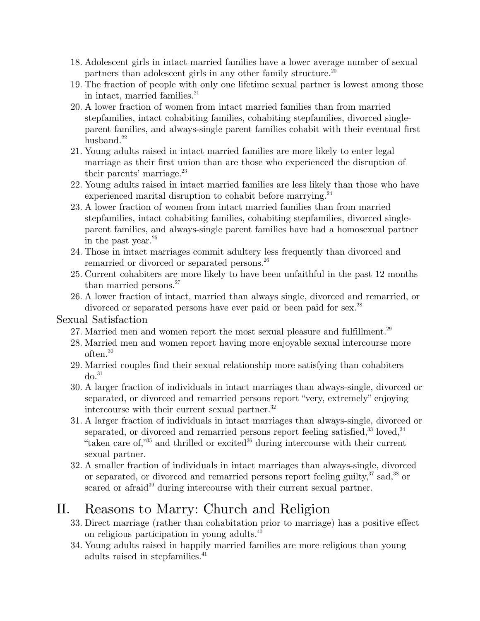- 18. Adolescent girls in intact married families have a lower average number of sexual partners than adolescent girls in any other family structure.<sup>20</sup>
- 19. The fraction of people with only one lifetime sexual partner is lowest among those in intact, married families.<sup>21</sup>
- 20. A lower fraction of women from intact married families than from married stepfamilies, intact cohabiting families, cohabiting stepfamilies, divorced singleparent families, and always-single parent families cohabit with their eventual first husband. $22$
- 21. Young adults raised in intact married families are more likely to enter legal marriage as their first union than are those who experienced the disruption of their parents' marriage.<sup>23</sup>
- 22. Young adults raised in intact married families are less likely than those who have experienced marital disruption to cohabit before marrying.<sup>24</sup>
- 23. A lower fraction of women from intact married families than from married stepfamilies, intact cohabiting families, cohabiting stepfamilies, divorced singleparent families, and always-single parent families have had a homosexual partner in the past year. $^{25}$
- 24. Those in intact marriages commit adultery less frequently than divorced and remarried or divorced or separated persons.<sup>26</sup>
- 25. Current cohabiters are more likely to have been unfaithful in the past 12 months than married persons.<sup>27</sup>
- 26. A lower fraction of intact, married than always single, divorced and remarried, or divorced or separated persons have ever paid or been paid for sex.<sup>28</sup>

## Sexual Satisfaction

- 27. Married men and women report the most sexual pleasure and fulfillment.<sup>29</sup>
- 28. Married men and women report having more enjoyable sexual intercourse more often.30
- 29. Married couples find their sexual relationship more satisfying than cohabiters  $d\sigma$ <sup>31</sup>
- 30. A larger fraction of individuals in intact marriages than always-single, divorced or separated, or divorced and remarried persons report "very, extremely" enjoying intercourse with their current sexual partner.<sup>32</sup>
- 31. A larger fraction of individuals in intact marriages than always-single, divorced or separated, or divorced and remarried persons report feeling satisfied, $33$  loved,  $34$ "taken care of, $35$  and thrilled or excited $36$  during intercourse with their current sexual partner.
- 32. A smaller fraction of individuals in intact marriages than always-single, divorced or separated, or divorced and remarried persons report feeling guilty,  $37$  sad,  $38$  or scared or afraid<sup>39</sup> during intercourse with their current sexual partner.

# II. Reasons to Marry: Church and Religion

- 33. Direct marriage (rather than cohabitation prior to marriage) has a positive effect on religious participation in young adults.<sup>40</sup>
- 34. Young adults raised in happily married families are more religious than young adults raised in stepfamilies.<sup>41</sup>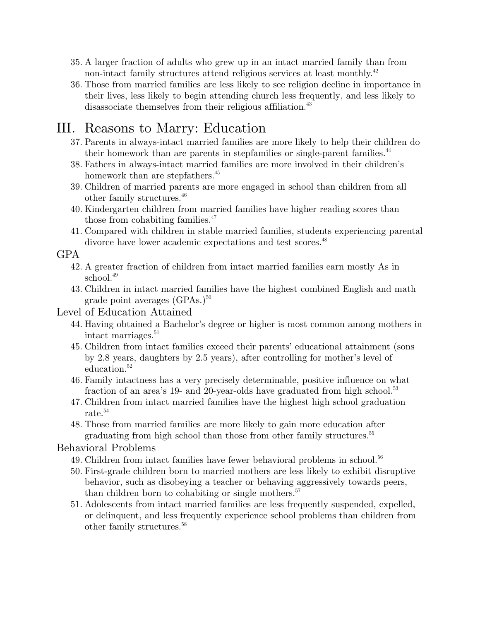- 35. A larger fraction of adults who grew up in an intact married family than from non-intact family structures attend religious services at least monthly.<sup>42</sup>
- 36. Those from married families are less likely to see religion decline in importance in their lives, less likely to begin attending church less frequently, and less likely to disassociate themselves from their religious affiliation.<sup>43</sup>

# III. Reasons to Marry: Education

- 37. Parents in always-intact married families are more likely to help their children do their homework than are parents in stepfamilies or single-parent families.<sup>44</sup>
- 38. Fathers in always-intact married families are more involved in their children's homework than are stepfathers.<sup>45</sup>
- 39. Children of married parents are more engaged in school than children from all other family structures.46
- 40. Kindergarten children from married families have higher reading scores than those from cohabiting families.<sup>47</sup>
- 41. Compared with children in stable married families, students experiencing parental divorce have lower academic expectations and test scores.<sup>48</sup>

GPA

- 42. A greater fraction of children from intact married families earn mostly As in school.<sup>49</sup>
- 43. Children in intact married families have the highest combined English and math grade point averages  $(GPAs.)^{50}$

## Level of Education Attained

- 44. Having obtained a Bachelor's degree or higher is most common among mothers in intact marriages.<sup>51</sup>
- 45. Children from intact families exceed their parents' educational attainment (sons by 2.8 years, daughters by 2.5 years), after controlling for mother's level of education.<sup>52</sup>
- 46. Family intactness has a very precisely determinable, positive influence on what fraction of an area's 19- and 20-year-olds have graduated from high school.<sup>53</sup>
- 47. Children from intact married families have the highest high school graduation rate.54
- 48. Those from married families are more likely to gain more education after graduating from high school than those from other family structures.<sup>55</sup>

## Behavioral Problems

- 49. Children from intact families have fewer behavioral problems in school.<sup>56</sup>
- 50. First-grade children born to married mothers are less likely to exhibit disruptive behavior, such as disobeying a teacher or behaving aggressively towards peers, than children born to cohabiting or single mothers.<sup>57</sup>
- 51. Adolescents from intact married families are less frequently suspended, expelled, or delinquent, and less frequently experience school problems than children from other family structures.<sup>58</sup>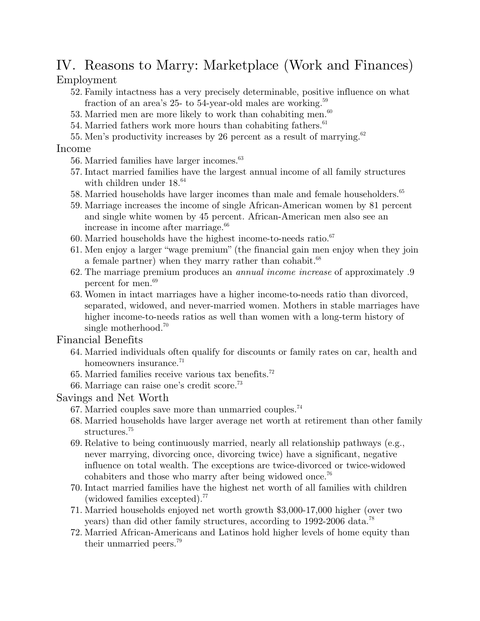# IV. Reasons to Marry: Marketplace (Work and Finances)

Employment

- 52. Family intactness has a very precisely determinable, positive influence on what fraction of an area's 25- to 54-year-old males are working.<sup>59</sup>
- 53. Married men are more likely to work than cohabiting men.<sup>60</sup>
- 54. Married fathers work more hours than cohabiting fathers.<sup>61</sup>
- 55. Men's productivity increases by 26 percent as a result of marrying.<sup>62</sup>

## Income

- 56. Married families have larger incomes.<sup>63</sup>
- 57. Intact married families have the largest annual income of all family structures with children under  $18.^{64}$
- 58. Married households have larger incomes than male and female householders.<sup>65</sup>
- 59. Marriage increases the income of single African-American women by 81 percent and single white women by 45 percent. African-American men also see an increase in income after marriage.<sup>66</sup>
- 60. Married households have the highest income-to-needs ratio. $67$
- 61. Men enjoy a larger "wage premium" (the financial gain men enjoy when they join a female partner) when they marry rather than cohabit.<sup>68</sup>
- 62. The marriage premium produces an *annual income increase* of approximately .9 percent for men.<sup>69</sup>
- 63. Women in intact marriages have a higher income-to-needs ratio than divorced, separated, widowed, and never-married women. Mothers in stable marriages have higher income-to-needs ratios as well than women with a long-term history of single motherhood.<sup>70</sup>

## Financial Benefits

- 64. Married individuals often qualify for discounts or family rates on car, health and homeowners insurance.<sup>71</sup>
- 65. Married families receive various tax benefits.72
- 66. Marriage can raise one's credit score.73

## Savings and Net Worth

- 67. Married couples save more than unmarried couples.74
- 68. Married households have larger average net worth at retirement than other family structures.<sup>75</sup>
- 69. Relative to being continuously married, nearly all relationship pathways (e.g., never marrying, divorcing once, divorcing twice) have a significant, negative influence on total wealth. The exceptions are twice-divorced or twice-widowed cohabiters and those who marry after being widowed once.<sup>76</sup>
- 70. Intact married families have the highest net worth of all families with children (widowed families excepted). $^{77}$
- 71. Married households enjoyed net worth growth \$3,000-17,000 higher (over two years) than did other family structures, according to 1992-2006 data.<sup>78</sup>
- 72. Married African-Americans and Latinos hold higher levels of home equity than their unmarried peers.<sup>79</sup>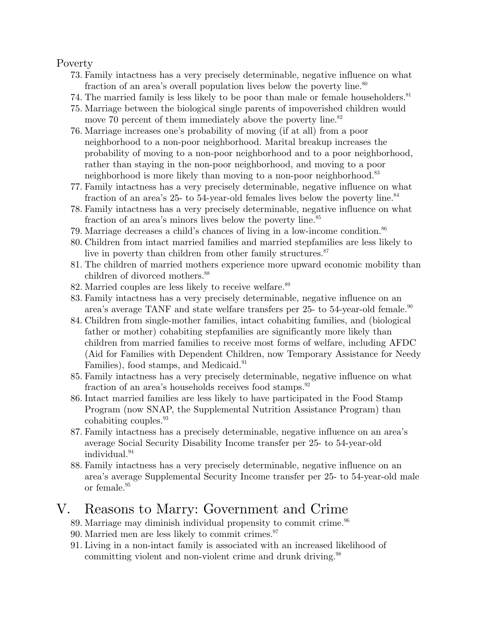#### Poverty

- 73. Family intactness has a very precisely determinable, negative influence on what fraction of an area's overall population lives below the poverty line.<sup>80</sup>
- 74. The married family is less likely to be poor than male or female householders.<sup>81</sup>
- 75. Marriage between the biological single parents of impoverished children would move 70 percent of them immediately above the poverty line.<sup>82</sup>
- 76. Marriage increases one's probability of moving (if at all) from a poor neighborhood to a non-poor neighborhood. Marital breakup increases the probability of moving to a non-poor neighborhood and to a poor neighborhood, rather than staying in the non-poor neighborhood, and moving to a poor neighborhood is more likely than moving to a non-poor neighborhood.<sup>83</sup>
- 77. Family intactness has a very precisely determinable, negative influence on what fraction of an area's 25- to 54-year-old females lives below the poverty line.<sup>84</sup>
- 78. Family intactness has a very precisely determinable, negative influence on what fraction of an area's minors lives below the poverty line.<sup>85</sup>
- 79. Marriage decreases a child's chances of living in a low-income condition.<sup>86</sup>
- 80. Children from intact married families and married stepfamilies are less likely to live in poverty than children from other family structures.<sup>87</sup>
- 81. The children of married mothers experience more upward economic mobility than children of divorced mothers.<sup>88</sup>
- 82. Married couples are less likely to receive welfare.<sup>89</sup>
- 83. Family intactness has a very precisely determinable, negative influence on an area's average TANF and state welfare transfers per 25- to 54-year-old female.<sup>90</sup>
- 84. Children from single-mother families, intact cohabiting families, and (biological father or mother) cohabiting stepfamilies are significantly more likely than children from married families to receive most forms of welfare, including AFDC (Aid for Families with Dependent Children, now Temporary Assistance for Needy Families), food stamps, and Medicaid.<sup>91</sup>
- 85. Family intactness has a very precisely determinable, negative influence on what fraction of an area's households receives food stamps.<sup>92</sup>
- 86. Intact married families are less likely to have participated in the Food Stamp Program (now SNAP, the Supplemental Nutrition Assistance Program) than cohabiting couples.<sup>93</sup>
- 87. Family intactness has a precisely determinable, negative influence on an area's average Social Security Disability Income transfer per 25- to 54-year-old individual.<sup>94</sup>
- 88. Family intactness has a very precisely determinable, negative influence on an area's average Supplemental Security Income transfer per 25- to 54-year-old male or female.95

## V. Reasons to Marry: Government and Crime

- 89. Marriage may diminish individual propensity to commit crime.<sup>96</sup>
- 90. Married men are less likely to commit crimes. $97$
- 91. Living in a non-intact family is associated with an increased likelihood of committing violent and non-violent crime and drunk driving.<sup>98</sup>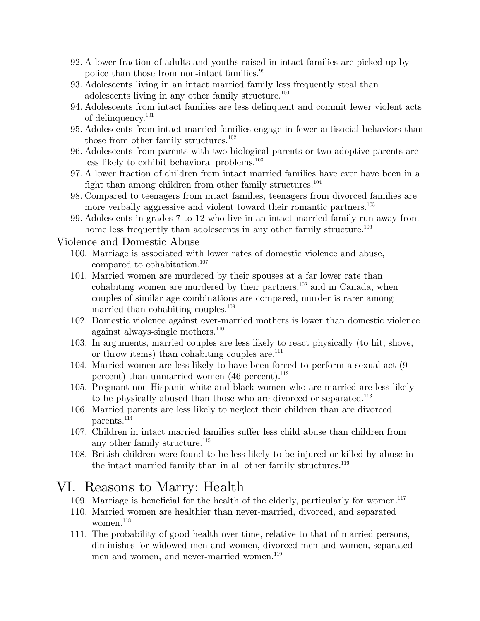- 92. A lower fraction of adults and youths raised in intact families are picked up by police than those from non-intact families.<sup>99</sup>
- 93. Adolescents living in an intact married family less frequently steal than adolescents living in any other family structure.<sup>100</sup>
- 94. Adolescents from intact families are less delinquent and commit fewer violent acts of delinquency.<sup>101</sup>
- 95. Adolescents from intact married families engage in fewer antisocial behaviors than those from other family structures. $102$
- 96. Adolescents from parents with two biological parents or two adoptive parents are less likely to exhibit behavioral problems.<sup>103</sup>
- 97. A lower fraction of children from intact married families have ever have been in a fight than among children from other family structures.<sup>104</sup>
- 98. Compared to teenagers from intact families, teenagers from divorced families are more verbally aggressive and violent toward their romantic partners.<sup>105</sup>
- 99. Adolescents in grades 7 to 12 who live in an intact married family run away from home less frequently than adolescents in any other family structure.<sup>106</sup>

#### Violence and Domestic Abuse

- 100. Marriage is associated with lower rates of domestic violence and abuse, compared to cohabitation.<sup>107</sup>
- 101. Married women are murdered by their spouses at a far lower rate than cohabiting women are murdered by their partners, $108$  and in Canada, when couples of similar age combinations are compared, murder is rarer among married than cohabiting couples.<sup>109</sup>
- 102. Domestic violence against ever-married mothers is lower than domestic violence against always-single mothers.<sup>110</sup>
- 103. In arguments, married couples are less likely to react physically (to hit, shove, or throw items) than cohabiting couples are. $111$
- 104. Married women are less likely to have been forced to perform a sexual act (9 percent) than unmarried women  $(46$  percent).<sup>112</sup>
- 105. Pregnant non-Hispanic white and black women who are married are less likely to be physically abused than those who are divorced or separated.<sup>113</sup>
- 106. Married parents are less likely to neglect their children than are divorced parents.<sup>114</sup>
- 107. Children in intact married families suffer less child abuse than children from any other family structure.<sup>115</sup>
- 108. British children were found to be less likely to be injured or killed by abuse in the intact married family than in all other family structures.<sup>116</sup>

## VI. Reasons to Marry: Health

- 109. Marriage is beneficial for the health of the elderly, particularly for women.<sup>117</sup>
- 110. Married women are healthier than never-married, divorced, and separated women. $118$
- 111. The probability of good health over time, relative to that of married persons, diminishes for widowed men and women, divorced men and women, separated men and women, and never-married women.<sup>119</sup>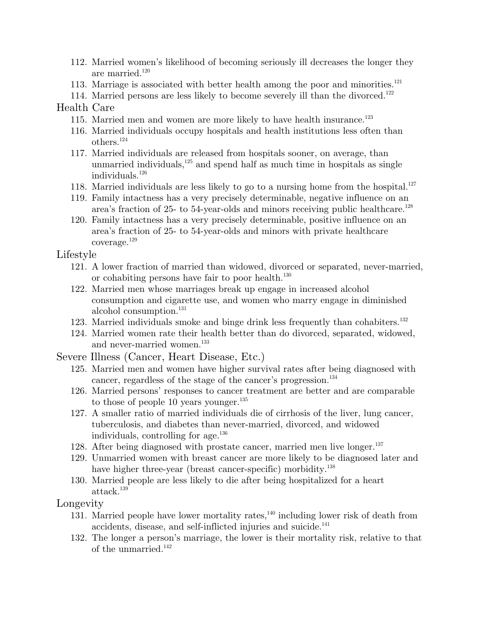- 112. Married women's likelihood of becoming seriously ill decreases the longer they are married. $120$
- 113. Marriage is associated with better health among the poor and minorities. $121$
- 114. Married persons are less likely to become severely ill than the divorced.<sup>122</sup>

## Health Care

- 115. Married men and women are more likely to have health insurance.<sup>123</sup>
- 116. Married individuals occupy hospitals and health institutions less often than others.124
- 117. Married individuals are released from hospitals sooner, on average, than unmarried individuals, $125$  and spend half as much time in hospitals as single individuals.126
- 118. Married individuals are less likely to go to a nursing home from the hospital.<sup>127</sup>
- 119. Family intactness has a very precisely determinable, negative influence on an area's fraction of 25- to 54-year-olds and minors receiving public healthcare.<sup>128</sup>
- 120. Family intactness has a very precisely determinable, positive influence on an area's fraction of 25- to 54-year-olds and minors with private healthcare coverage.129

#### Lifestyle

- 121. A lower fraction of married than widowed, divorced or separated, never-married, or cohabiting persons have fair to poor health.<sup>130</sup>
- 122. Married men whose marriages break up engage in increased alcohol consumption and cigarette use, and women who marry engage in diminished alcohol consumption.<sup>131</sup>
- 123. Married individuals smoke and binge drink less frequently than cohabiters.<sup>132</sup>
- 124. Married women rate their health better than do divorced, separated, widowed, and never-married women.<sup>133</sup>
- Severe Illness (Cancer, Heart Disease, Etc.)
	- 125. Married men and women have higher survival rates after being diagnosed with cancer, regardless of the stage of the cancer's progression.<sup>134</sup>
	- 126. Married persons' responses to cancer treatment are better and are comparable to those of people 10 years younger.<sup>135</sup>
	- 127. A smaller ratio of married individuals die of cirrhosis of the liver, lung cancer, tuberculosis, and diabetes than never-married, divorced, and widowed individuals, controlling for age.136
	- 128. After being diagnosed with prostate cancer, married men live longer.<sup>137</sup>
	- 129. Unmarried women with breast cancer are more likely to be diagnosed later and have higher three-year (breast cancer-specific) morbidity.<sup>138</sup>
	- 130. Married people are less likely to die after being hospitalized for a heart attack.<sup>139</sup>

#### Longevity

- 131. Married people have lower mortality rates, $140$  including lower risk of death from accidents, disease, and self-inflicted injuries and suicide.<sup>141</sup>
- 132. The longer a person's marriage, the lower is their mortality risk, relative to that of the unmarried. $142$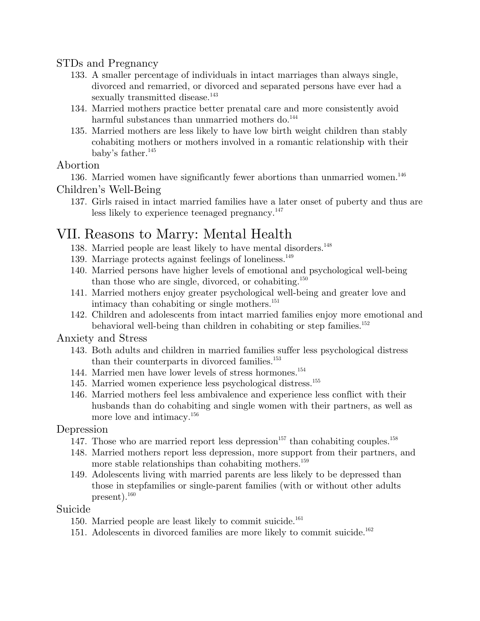## STDs and Pregnancy

- 133. A smaller percentage of individuals in intact marriages than always single, divorced and remarried, or divorced and separated persons have ever had a sexually transmitted disease.<sup>143</sup>
- 134. Married mothers practice better prenatal care and more consistently avoid harmful substances than unmarried mothers do.<sup>144</sup>
- 135. Married mothers are less likely to have low birth weight children than stably cohabiting mothers or mothers involved in a romantic relationship with their baby's father.<sup>145</sup>

## Abortion

136. Married women have significantly fewer abortions than unmarried women. $^{146}$ Children's Well-Being

137. Girls raised in intact married families have a later onset of puberty and thus are less likely to experience teenaged pregnancy.<sup>147</sup>

## VII. Reasons to Marry: Mental Health

- 138. Married people are least likely to have mental disorders.<sup>148</sup>
- 139. Marriage protects against feelings of loneliness.<sup>149</sup>
- 140. Married persons have higher levels of emotional and psychological well-being than those who are single, divorced, or cohabiting.<sup>150</sup>
- 141. Married mothers enjoy greater psychological well-being and greater love and intimacy than cohabiting or single mothers.<sup>151</sup>
- 142. Children and adolescents from intact married families enjoy more emotional and behavioral well-being than children in cohabiting or step families.<sup>152</sup>

## Anxiety and Stress

- 143. Both adults and children in married families suffer less psychological distress than their counterparts in divorced families.<sup>153</sup>
- 144. Married men have lower levels of stress hormones.154
- 145. Married women experience less psychological distress.155
- 146. Married mothers feel less ambivalence and experience less conflict with their husbands than do cohabiting and single women with their partners, as well as more love and intimacy.<sup>156</sup>

## Depression

- 147. Those who are married report less depression<sup>157</sup> than cohabiting couples.<sup>158</sup>
- 148. Married mothers report less depression, more support from their partners, and more stable relationships than cohabiting mothers.<sup>159</sup>
- 149. Adolescents living with married parents are less likely to be depressed than those in stepfamilies or single-parent families (with or without other adults present).160

#### Suicide

- 150. Married people are least likely to commit suicide. $^{161}$
- 151. Adolescents in divorced families are more likely to commit suicide.<sup>162</sup>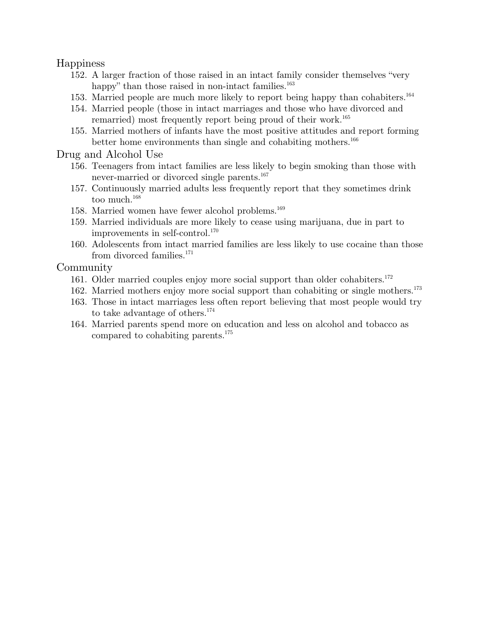#### Happiness

- 152. A larger fraction of those raised in an intact family consider themselves "very happy" than those raised in non-intact families.<sup>163</sup>
- 153. Married people are much more likely to report being happy than cohabiters.164
- 154. Married people (those in intact marriages and those who have divorced and remarried) most frequently report being proud of their work.<sup>165</sup>
- 155. Married mothers of infants have the most positive attitudes and report forming better home environments than single and cohabiting mothers.<sup>166</sup>

#### Drug and Alcohol Use

- 156. Teenagers from intact families are less likely to begin smoking than those with never-married or divorced single parents.<sup>167</sup>
- 157. Continuously married adults less frequently report that they sometimes drink too much.<sup>168</sup>
- 158. Married women have fewer alcohol problems.<sup>169</sup>
- 159. Married individuals are more likely to cease using marijuana, due in part to improvements in self-control.170
- 160. Adolescents from intact married families are less likely to use cocaine than those from divorced families.<sup>171</sup>

#### **Community**

- 161. Older married couples enjoy more social support than older cohabiters.<sup>172</sup>
- 162. Married mothers enjoy more social support than cohabiting or single mothers.<sup>173</sup>
- 163. Those in intact marriages less often report believing that most people would try to take advantage of others.174
- 164. Married parents spend more on education and less on alcohol and tobacco as compared to cohabiting parents.175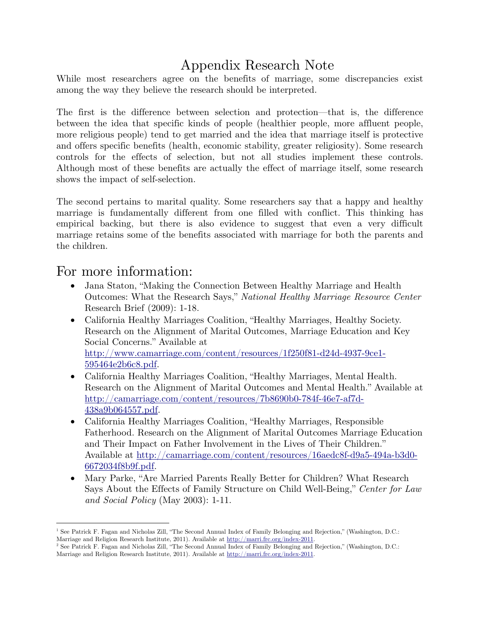# Appendix Research Note

While most researchers agree on the benefits of marriage, some discrepancies exist among the way they believe the research should be interpreted.

The first is the difference between selection and protection—that is, the difference between the idea that specific kinds of people (healthier people, more affluent people, more religious people) tend to get married and the idea that marriage itself is protective and offers specific benefits (health, economic stability, greater religiosity). Some research controls for the effects of selection, but not all studies implement these controls. Although most of these benefits are actually the effect of marriage itself, some research shows the impact of self-selection.

The second pertains to marital quality. Some researchers say that a happy and healthy marriage is fundamentally different from one filled with conflict. This thinking has empirical backing, but there is also evidence to suggest that even a very difficult marriage retains some of the benefits associated with marriage for both the parents and the children.

## For more information:

- Jana Staton, "Making the Connection Between Healthy Marriage and Health Outcomes: What the Research Says," *National Healthy Marriage Resource Center* Research Brief (2009): 1-18.
- California Healthy Marriages Coalition, "Healthy Marriages, Healthy Society. Research on the Alignment of Marital Outcomes, Marriage Education and Key Social Concerns." Available at http://www.camarriage.com/content/resources/1f250f81-d24d-4937-9ce1- 595464e2b6c8.pdf.
- California Healthy Marriages Coalition, "Healthy Marriages, Mental Health. Research on the Alignment of Marital Outcomes and Mental Health." Available at http://camarriage.com/content/resources/7b8690b0-784f-46e7-af7d-438a9b064557.pdf.
- California Healthy Marriages Coalition, "Healthy Marriages, Responsible Fatherhood. Research on the Alignment of Marital Outcomes Marriage Education and Their Impact on Father Involvement in the Lives of Their Children." Available at http://camarriage.com/content/resources/16aedc8f-d9a5-494a-b3d0- 6672034f8b9f.pdf.
- Mary Parke, "Are Married Parents Really Better for Children? What Research Says About the Effects of Family Structure on Child Well-Being," *Center for Law and Social Policy* (May 2003): 1-11.

 $\overline{a}$ <sup>1</sup> See Patrick F. Fagan and Nicholas Zill, "The Second Annual Index of Family Belonging and Rejection," (Washington, D.C.: Marriage and Religion Research Institute, 2011). Available at http://marri.frc.org/index-2011.

<sup>&</sup>lt;sup>2</sup> See Patrick F. Fagan and Nicholas Zill, "The Second Annual Index of Family Belonging and Rejection," (Washington, D.C.: Marriage and Religion Research Institute, 2011). Available at http://marri.frc.org/index-2011.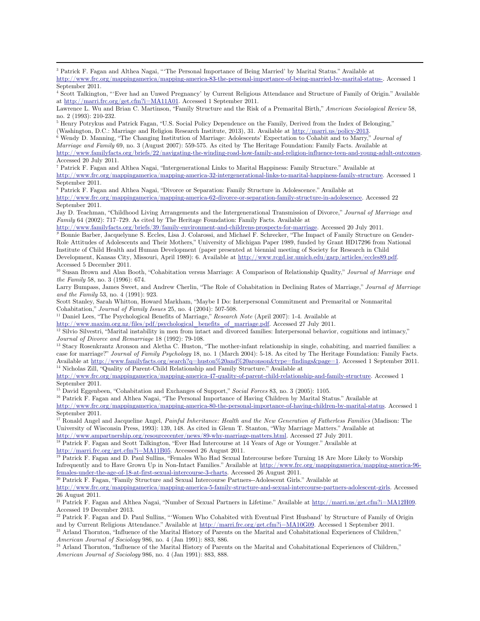3 Patrick F. Fagan and Althea Nagai, "'The Personal Importance of Being Married' by Marital Status." Available at

4 Scott Talkington, "'Ever had an Unwed Pregnancy' by Current Religious Attendance and Structure of Family of Origin." Available at http://marri.frc.org/get.cfm?i=MA11A01. Accessed 1 September 2011.

Lawrence L. Wu and Brian C. Martinson, "Family Structure and the Risk of a Premarital Birth," *American Sociological Review* 58, no. 2 (1993): 210-232.

<sup>5</sup> Henry Potrykus and Patrick Fagan, "U.S. Social Policy Dependence on the Family, Derived from the Index of Belonging," (Washington, D.C.: Marriage and Religion Research Institute, 2013), 31. Available at http://marri.us/policy-2013. 6

 Wendy D. Manning, "The Changing Institution of Marriage: Adolescents' Expectation to Cohabit and to Marry," *Journal of Marriage and Family* 69, no. 3 (August 2007): 559-575. As cited by The Heritage Foundation: Family Facts. Available at http://www.familyfacts.org/briefs/22/navigating-the-winding-road-how-family-and-religion-influence-teen-and-young-adult-outcomes.

Accessed 20 July 2011.

 $\overline{a}$ 

7 Patrick F. Fagan and Althea Nagai, "Intergenerational Links to Marital Happiness: Family Structure." Available at http://www.frc.org/mappingamerica/mapping-america-32-intergenerational-links-to-marital-happiness-family-structure. Accessed 1 September 2011.

8 Patrick F. Fagan and Althea Nagai, "Divorce or Separation: Family Structure in Adolescence." Available at http://www.frc.org/mappingamerica/mapping-america-62-divorce-or-separation-family-structure-in-adolescence. Accessed 22 September 2011.

Jay D. Teachman, "Childhood Living Arrangements and the Intergenerational Transmission of Divorce," *Journal of Marriage and Family* 64 (2002): 717–729. As cited by The Heritage Foundation: Family Facts. Available at

http://www.familyfacts.org/briefs/39/family-environment-and-childrens-prospects-for-marriage. Accessed 20 July 2011. *<sup>9</sup>* Bonnie Barber, Jacquelynne S. Eccles, Lisa J. Colarossi, and Michael F. Schrecker, "The Impact of Family Structure on Gender-Role Attitudes of Adolescents and Their Mothers," University of Michigan Paper 1989, funded by Grant HD17296 from National Institute of Child Health and Human Development (paper presented at biennial meeting of Society for Research in Child Development, Kansas City, Missouri, April 1989): 6. Available at http://www.rcgd.isr.umich.edu/garp/articles/eccles89.pdf. Accessed 5 December 2011.

10 Susan Brown and Alan Booth, "Cohabitation versus Marriage: A Comparison of Relationship Quality," *Journal of Marriage and the Family* 58, no. 3 (1996): 674.

Larry Bumpass, James Sweet, and Andrew Cherlin, "The Role of Cohabitation in Declining Rates of Marriage," *Journal of Marriage and the Family* 53, no. 4 (1991): 923.

Scott Stanley, Sarah Whitton, Howard Markham, "Maybe I Do: Interpersonal Commitment and Premarital or Nonmarital Cohabitation," Journal of Family Issues 25, no. 4 (2004): 507-508.

<sup>11</sup> Daniel Lees, "The Psychological Benefits of Marriage," *Research Note* (April 2007): 1-4. Available at

http://www.maxim.org.nz/files/pdf/psychological\_benefits\_of\_marriage.pdf. Accessed 27 July 2011.

12 Silvio Silvestri, "Marital instability in men from intact and divorced families: Interpersonal behavior, cognitions and intimacy,"

*Journal of Divorce and Remarriage* 18 (1992): 79-108.<br><sup>13</sup> Stacy Rosenkrantz Aronson and Aletha C. Huston, "The mother-infant relationship in single, cohabiting, and married families: a case for marriage?" *Journal of Family Psychology* 18, no. 1 (March 2004): 5-18. As cited by The Heritage Foundation: Family Facts. Available at http://www.familyfacts.org/search?q=huston%20and%20aronson&type=findings&page=1. Accessed 1 September 2011. <sup>14</sup> Nicholas Zill, "Quality of Parent-Child Relationship and Family Structure." Available at

http://www.frc.org/mappingamerica/mapping-america-47-quality-of-parent-child-relationship-and-family-structure. Accessed 1 September 2011.<br><sup>15</sup> David Eggenbeen, "Cohabitation and Exchanges of Support," Social Forces 83, no. 3 (2005): 1105.

<sup>16</sup> Patrick F. Fagan and Althea Nagai, "The Personal Importance of Having Children by Marital Status." Available at http://www.frc.org/mappingamerica/mapping-america-80-the-personal-importance-of-having-children-by-marital-status. Accessed 1 September 2011.

17 Ronald Angel and Jacqueline Angel, *Painful Inheritance: Health and the New Generation of Fatherless Families* (Madison: The University of Wisconsin Press, 1993): 139, 148. As cited in Glenn T. Stanton, "Why Marriage Matters." Available at

http://www.ampartnership.org/resourcecenter/news/89-why-marriage-matters.html. Accessed 27 July 2011. 18 Patrick F. Fagan and Scott Talkington, "Ever Had Intercourse at 14 Years of Age or Younger." Available at

http://marri.frc.org/get.cfm?i=MA11B05. Accessed 26 August 2011.<br><sup>19</sup> Patrick F. Fagan and D. Paul Sullins, "Females Who Had Sexual Intercourse before Turning 18 Are More Likely to Worship Infrequently and to Have Grown Up in Non-Intact Families." Available at http://www.frc.org/mappingamerica/mapping-america-96 females-under-the-age-of-18-at-first-sexual-intercourse-3-charts. Accessed 26 August 2011.<br><sup>20</sup> Patrick F. Fagan, "Family Structure and Sexual Intercourse Partners--Adolescent Girls." Available at

http://www.frc.org/mappingamerica/mapping-america-5-family-structure-and-sexual-intercourse-partners-adolescent-girls. Accessed 26 August 2011.

<sup>21</sup> Patrick F. Fagan and Althea Nagai, "Number of Sexual Partners in Lifetime." Available at http://marri.us/get.cfm?i=MA12H09. Accessed 19 December 2013.

<sup>22</sup> Patrick F. Fagan and D. Paul Sullins, "'Women Who Cohabited with Eventual First Husband' by Structure of Family of Origin and by Current Religious Attendance." Available at  $\frac{http://marri.frc.org/get.cfm?i=MA10G09}{http://marri.frc.org/get.cfm?i=MA10G09}$ . Accessed 1 September 2011.<br><sup>23</sup> Arland Thornton, "Influence of the Marital History of Parents on the Marital and Cohabi

*American Journal of Sociology* 986, no. 4 (Jan 1991): 883, 886.<br><sup>24</sup> Arland Thornton, "Influence of the Marital History of Parents on the Marital and Cohabitational Experiences of Children,"

*American Journal of Sociology* 986, no. 4 (Jan 1991): 883, 888.

http://www.frc.org/mappingamerica/mapping-america-83-the-personal-importance-of-being-married-by-marital-status-. Accessed 1 September 2011.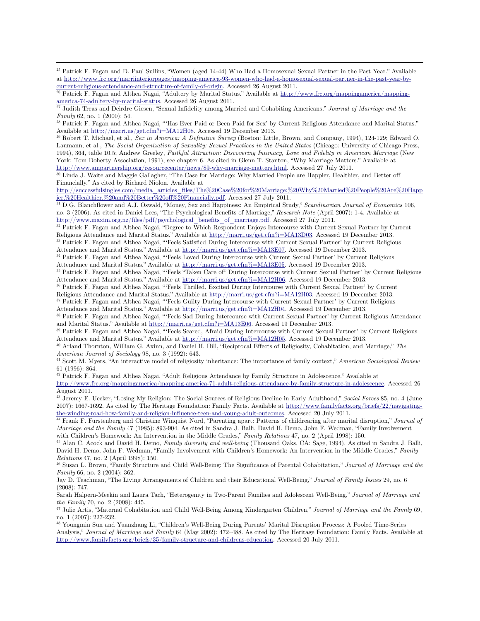$\overline{a}$ 

Laumann, et al., *The Social Organization of Sexuality: Sexual Practices in the United States* (Chicago: University of Chicago Press, 1994), 364, table 10.5; Andrew Greeley, *Faithful Attraction: Discovering Intimacy, Love and Fidelity in American Marriage* (New York: Tom Doherty Association, 1991), see chapter 6. As cited in Glenn T. Stanton, "Why Marriage Matters." Available at

http://www.ampartnership.org/resourcecenter/news/89-why-marriage-matters.html. Accessed 27 July 2011.<br><sup>30</sup> Linda J. Waite and Maggie Gallagher, "The Case for Marriage: Why Married People are Happier, Healthier, and Better Financially." As cited by Richard Niolon. Available at

http://successfulsingles.com/media\_articles\_files/The%20Case%20for%20Marriage:%20Why%20Married%20People%20Are%20Happ ier,%20Healthier,%20and%20Better%20off%20Financially.pdf. Accessed 27 July 2011.

31 D.G. Blanchflower and A.J. Oswald, "Money, Sex and Happiness: An Empirical Study," *Scandinavian Journal of Economics* 106, no. 3 (2006). As cited in Daniel Lees, "The Psychological Benefits of Marriage," *Research Note* (April 2007): 1-4. Available at http://www.maxim.org.nz/files/pdf/psychological\_benefits\_of\_marriage.pdf. Accessed 27 July 2011.

32 Patrick F. Fagan and Althea Nagai, "Degree to Which Respondent Enjoys Intercourse with Current Sexual Partner by Current Religious Attendance and Marital Status." Available at http://marri.us/get.cfm?i=MA13D03. Accessed 19 December 2013.<br><sup>33</sup> Patrick F. Fagan and Althea Nagai, "'Feels Satisfied During Intercourse with Current Sexual Partner'

Attendance and Marital Status." Available at http://marri.us/get.cfm?i=MA13E07. Accessed 19 December 2013.<br><sup>34</sup> Patrick F. Fagan and Althea Nagai, "'Feels Loved During Intercourse with Current Sexual Partner' by Current Re

Attendance and Marital Status." Available at <u>http://marri.us/get.cfm?i=MA13E05</u>. Accessed 19 December 2013.<br><sup>35</sup> Patrick F. Fagan and Althea Nagai, "'Feels "Taken Care of" During Intercourse with Current Sexual Partner' b

<sup>36</sup> Patrick F. Fagan and Althea Nagai, "'Feels Thrilled, Excited During Intercourse with Current Sexual Partner' by Current

Religious Attendance and Marital Status." Available at  $\frac{http://marri.us/get.cfm?i=MA12H03}{http://marri.us/get.cfm?i=M12H03}$ . Accessed 19 December 2013.<br><sup>37</sup> Patrick F. Fagan and Althea Nagai, "'Feels Guilty During Intercourse with Current Sexual

<sup>38</sup> Patrick F. Fagan and Althea Nagai, "Feels Sad During Intercourse with Current Sexual Partner' by Current Religious Attendance

and Marital Status." Available at <u>http://marri.us/get.cfm?i=MA13E06</u>. Accessed 19 December 2013.<br><sup>39</sup> Patrick F. Fagan and Althea Nagai, "'Feels Scared, Afraid During Intercourse with Current Sexual Partner' by Current Re Attendance and Marital Status." Available at http://marri.us/get.cfm?i=MA12H05. Accessed 19 December 2013.<br><sup>40</sup> Arland Thornton, William G. Axinn, and Daniel H. Hill, "Reciprocal Effects of Religiosity, Cohabitation, and M

*American Journal of Sociology* 98, no. 3 (1992): 643.<br><sup>41</sup> Scott M. Myers, "An interactive model of religiosity inheritance: The importance of family context," *American Sociological Review* 

61 (1996): 864.

42 Patrick F. Fagan and Althea Nagai, "Adult Religious Attendance by Family Structure in Adolescence." Available at http://www.frc.org/mappingamerica/mapping-america-71-adult-religious-attendance-by-family-structure-in-adolescence. Accessed 26 August 2011.

43 Jeremy E. Uecker, "Losing My Religion: The Social Sources of Religious Decline in Early Adulthood," *Social Forces* 85, no. 4 (June 2007): 1667-1692. As cited by The Heritage Foundation: Family Facts. Available at  $\frac{\text{http://www.familyfacts.org/briefs/22/navigating-the-winding road-hour-family-and-religion-influence-teen-and-voung-addult-outcomes. Accessed 20 July 2011.}$ 

<sup>44</sup> Frank F. Furstenberg and Christine Winquist Nord, "Parenting apart: Patterns of childrearing after marital disruption," Journal of *Marriage and the Family* 47 (1985): 893-904. As cited in Sandra J. Balli, David H. Demo, John F. Wedman, "Family Involvement

with Children's Homework: An Intervention in the Middle Grades," Family Relations 47, no. 2 (April 1998): 150.<br><sup>45</sup> Alan C. Acock and David H. Demo, *Family diversity and well-being* (Thousand Oaks, CA: Sage, 1994). As cit David H. Demo, John F. Wedman, "Family Involvement with Children's Homework: An Intervention in the Middle Grades," *Family* 

*Relations* 47, no. 2 (April 1998): 150. 46 Susan L. Brown, "Family Structure and Child Well-Being: The Significance of Parental Cohabitation," *Journal of Marriage and the Family* 66, no. 2 (2004): 362.

Jay D. Teachman, "The Living Arrangements of Children and their Educational Well-Being," *Journal of Family Issues* 29, no. 6 (2008): 747.

Sarah Halpern-Meekin and Laura Tach, "Heterogenity in Two-Parent Families and Adolescent Well-Being," *Journal of Marriage and the Family* 70, no. 2 (2008): 445. 47 Julie Artis, "Maternal Cohabitation and Child Well-Being Among Kindergarten Children," *Journal of Marriage and the Family* 69,

no. 1 (2007): 227-232.

48 Youngmin Sun and Yuanzhang Li, "Children's Well-Being During Parents' Marital Disruption Process: A Pooled Time-Series

Analysis," *Journal of Marriage and Family* 64 (May 2002): 472–488. As cited by The Heritage Foundation: Family Facts. Available at http://www.familyfacts.org/briefs/35/family-structure-and-childrens-education. Accessed 20 July 2011.

<sup>25</sup> Patrick F. Fagan and D. Paul Sullins, "Women (aged 14-44) Who Had a Homosexual Sexual Partner in the Past Year." Available at http://www.frc.org/marriinteriorpages/mapping-america-93-women-who-had-a-homosexual-sexual-partner-in-the-past-year-by-

current-religious-attendance-and-structure-of-family-of-origin. Accessed 26 August 2011.<br><sup>26</sup> Patrick F. Fagan and Althea Nagai, "Adultery by Marital Status." Available at  $\frac{\text{http://www.frc.org/mappingamerica/mapping-america-74-adultery-by-marital-status.}$  Accessed 26

Judith Treas and Deirdre Giesen, "Sexual Infidelity among Married and Cohabiting Americans," *Journal of Marriage and the Family* 62, no. 1 (2000): 54. 28 Patrick F. Fagan Althea Nagai, "'Has Ever Paid or Been Paid for Sex' by Current Religious Attendance and Marital Status."

Available at http://marri.us/get.cfm?i=MA12H08. Accessed 19 December 2013. 29 Robert T. Michael, et al., *Sex in America: A Definitive Survey* (Boston: Little, Brown, and Company, 1994), 124-129; Edward O.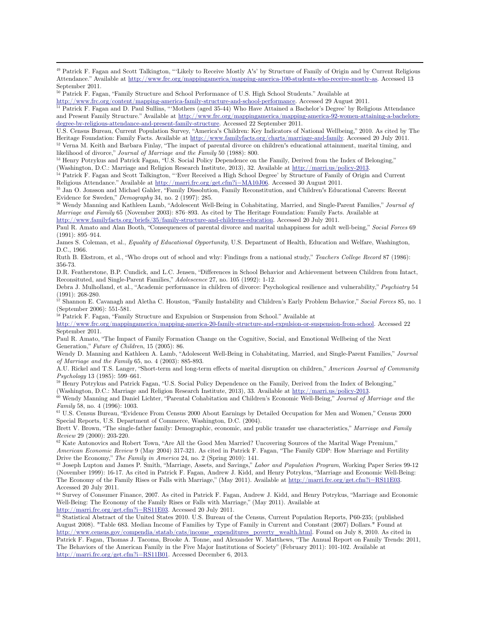49 Patrick F. Fagan and Scott Talkington, "'Likely to Receive Mostly A's' by Structure of Family of Origin and by Current Religious Attendance." Available at http://www.frc.org/mappingamerica/mapping-america-100-students-who-receive-mostly-as. Accessed 13 September 2011.

 $\overline{a}$ 

likelihood of divorce," *Journal of Marriage and the Family* 50 (1988): 800.<br><sup>53</sup> Henry Potrykus and Patrick Fagan, "U.S. Social Policy Dependence on the Family, Derived from the Index of Belonging,"

(Washington, D.C.: Marriage and Religion Research Institute, 2013), 32. Available at  $\frac{http://marri.us/policy-2013}{http://marri.us/policy-2013}$ .<br><sup>54</sup> Patrick F. Fagan and Scott Talkington, "Ever Received a High School Degree' by Structure of Fami

55 Jan O. Jonsson and Michael Gahler, "Family Dissolution, Family Reconstitution, and Children's Educational Careers: Recent Evidence for Sweden," *Demography* 34, no. 2 (1997): 285. **Solutional Constanting Mannifest** 2016 Wendy Manning and Kathleen Lamb, "Adolescent Well-Being in Cohabitating, Married, and Single-Parent Families," *Journal of* 

*Marriage and Family* 65 (November 2003): 876–893. As cited by The Heritage Foundation: Family Facts. Available at http://www.familyfacts.org/briefs/35/family-structure-and-childrens-education. Accessed 20 July 2011.

Paul R. Amato and Alan Booth, "Consequences of parental divorce and marital unhappiness for adult well-being," *Social Forces* 69 (1991): 895–914.

James S. Coleman, et al., *Equality of Educational Opportunity*, U.S. Department of Health, Education and Welfare, Washington, D.C., 1966.

Ruth B. Ekstrom, et al., "Who drops out of school and why: Findings from a national study," *Teachers College Record* 87 (1986): 356-73.

D.R. Featherstone, B.P. Cundick, and L.C. Jensen, "Differences in School Behavior and Achievement between Children from Intact, Reconsituted, and Single-Parent Families," *Adolescence* 27, no. 105 (1992): 1-12.

Debra J. Mulholland, et al., "Academic performance in children of divorce: Psychological resilience and vulnerability," *Psychiatry* 54 (1991): 268-280.

57 Shannon E. Cavanagh and Aletha C. Houston, "Family Instability and Children's Early Problem Behavior," *Social Forces* 85, no. 1 (September 2006): 551-581.

58 Patrick F. Fagan, "Family Structure and Expulsion or Suspension from School." Available at

http://www.frc.org/mappingamerica/mapping-america-20-family-structure-and-expulsion-or-suspension-from-school. Accessed 22 September 2011.

Paul R. Amato, "The Impact of Family Formation Change on the Cognitive, Social, and Emotional Wellbeing of the Next Generation," *Future of Children*, 15 (2005): 86.

Wendy D. Manning and Kathleen A. Lamb, "Adolescent Well-Being in Cohabitating, Married, and Single-Parent Families," *Journal of Marriage and the Family* 65, no. 4 (2003): 885-893.

A.U. Rickel and T.S. Langer, "Short-term and long-term effects of marital disruption on children," *American Journal of Community* 

*Psychology* 13 (1985): 599–661.<br><sup>59</sup> Henry Potrykus and Patrick Fagan, "U.S. Social Policy Dependence on the Family, Derived from the Index of Belonging,"

(Washington, D.C.: Marriage and Religion Research Institute, 2013), 33. Available at http://marri.us/policy-2013.<br><sup>60</sup> Wendy Manning and Daniel Lichter, "Parental Cohabitation and Children's Economic Well-Being," Journal o

*Family* 58, no. 4 (1996): 1003.<br><sup>61</sup> U.S. Census Bureau, "Evidence From Census 2000 About Earnings by Detailed Occupation for Men and Women," Census 2000

Special Reports, U.S. Department of Commerce, Washington, D.C. (2004).

Brett V. Brown, "The single-father family: Demographic, economic, and public transfer use characteristics," *Marriage and Family* 

<sup>62</sup> Kate Antonovics and Robert Town, "Are All the Good Men Married? Uncovering Sources of the Marital Wage Premium," *American Economic Review* 9 (May 2004) 317-321. As cited in Patrick F. Fagan, "The Family GDP: How Marriage and Fertility

Drive the Economy," *The Family in America* 24, no. 2 (Spring 2010): 141.<br><sup>63</sup> Joseph Lupton and James P. Smith, "Marriage, Assets, and Savings," *Labor and Population Program*, Working Paper Series 99-12 (November 1999): 16-17. As cited in Patrick F. Fagan, Andrew J. Kidd, and Henry Potrykus, "Marriage and Economic Well-Being: The Economy of the Family Rises or Falls with Marriage," (May 2011). Available at http://marri.frc.org/get.cfm?i=RS11E03. Accessed 20 July 2011.

64 Survey of Consumer Finance, 2007. As cited in Patrick F. Fagan, Andrew J. Kidd, and Henry Potrykus, "Marriage and Economic Well-Being: The Economy of the Family Rises or Falls with Marriage," (May 2011). Available at

http://marri.frc.org/get.cfm?i=RS11E03. Accessed 20 July 2011. <sup>65</sup> Statistical Abstract of the United States 2010. U.S. Bureau of the Census, Current Population Reports, P60-235; (published <sup>65</sup> Statistical Abstract of th August 2008). "Table 683. Median Income of Families by Type of Family in Current and Constant (2007) Dollars." Found at http://www.census.gov/compendia/statab/cats/income\_expenditures\_poverty\_wealth.html. Found on July 8, 2010. As cited in Patrick F. Fagan, Thomas J. Tacoma, Brooke A. Tonne, and Alexander W. Matthews, "The Annual Report on Family Trends: 2011, The Behaviors of the American Family in the Five Major Institutions of Society" (February 2011): 101-102. Available at http://marri.frc.org/get.cfm?i=RS11B01. Accessed December 6, 2013.

<sup>50</sup> Patrick F. Fagan, "Family Structure and School Performance of U.S. High School Students." Available at

 $\underline{\text{http://www.frc.org/content/mapping-american-family-structure-and-school-performance. Accessed 29 August 2011.}}$  <br> Patrick F. Fagan and D. Paul Sullins, "Mothers (aged 35-44) Who Have Attained a Bachelor's Degree' by Religious Attendance and Present Family Structure." Available at http://www.frc.org/mappingamerica/mapping-america-92-women-attaining-a-bachelorsdegree-by-religious-attendance-and-present-family-structure. Accessed 22 September 2011.

U.S. Census Bureau, Current Population Survey, "America's Children: Key Indicators of National Wellbeing," 2010. As cited by The Heritage Foundation: Family Facts. Available at http://www.familyfacts.org/charts/marriage-and-family. Accessed 20 July 2011.<br><sup>52</sup> Verna M. Keith and Barbara Finlay, "The impact of parental divorce on children's educationa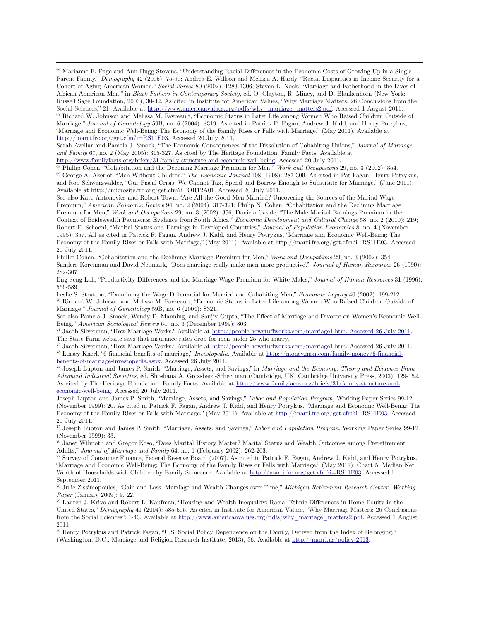66 Marianne E. Page and Ann Hugg Stevens, "Understanding Racial Differences in the Economic Costs of Growing Up in a Single-Parent Family," *Demography* 42 (2005): 75-90; Andrea E. Willson and Melissa A. Hardy, "Racial Disparities in Income Security for a Cohort of Aging American Women," *Social Forces* 80 (2002): 1283-1306; Steven L. Nock, "Marriage and Fatherhood in the Lives of African American Men," in *Black Fathers in Contemporary Society*, ed. O. Clayton, R. Mincy, and D. Blankenhorn (New York: Russell Sage Foundation, 2003), 30-42. As cited in Institute for American Values, "Why Marriage Matters: 26 Conclusions from the Social Sciences," 21. Available at http://www.americanvalues.org/pdfs/why\_marriage\_matters2.pdf. Accessed 1 August 2011. 67 Richard W. Johnson and Melissa M. Favreault, "Economic Status in Later Life among Women Who Raised Children Outside of Marriage," *Journal of Gerontology* 59B, no. 6 (2004): S319. As cited in Patrick F. Fagan, Andrew J. Kidd, and Henry Potrykus, "Marriage and Economic Well-Being: The Economy of the Family Rises or Falls with Marriage," (May 2011). Available at http://marri.frc.org/get.cfm?i=RS11E03. Accessed 20 July 2011.

 $\overline{a}$ 

Sarah Avellar and Pamela J. Smock, "The Economic Consequences of the Dissolution of Cohabiting Unions," *Journal of Marriage and Family* 67, no. 2 (May 2005): 315-327. As cited by The Heritage Foundation: Family Facts. Available at

 $\frac{\text{http://www.familyfacts.org/briefs/31/family-structure-and-economic-well-being}}{\text{68} \text{Philip Cohen, "Cohabitation and the Declining Martinez Premium for Men," Work and Occupations 29, no. 3 (2002): 354.}$ and Rob Schwarzwalder, "Our Fiscal Crisis: We Cannot Tax, Spend and Borrow Enough to Substitute for Marriage," (June 2011). Available at http://microsite.frc.org/get.cfm?i=OR12A01. Accessed 20 July 2011.

See also Kate Antonovics and Robert Town, "Are All the Good Men Married? Uncovering the Sources of the Marital Wage Premium," *American Economic Review* 94, no. 2 (2004): 317-321; Philip N. Cohen, "Cohabitation and the Declining Marriage Premium for Men," *Work and Occupations* 29, no. 3 (2002): 356; Daniela Casale, "The Male Marital Earnings Premium in the Context of Bridewealth Payments: Evidence from South Africa," *Economic Development and Cultural Change* 58, no. 2 (2010): 219; Robert F. Schoeni, "Marital Status and Earnings in Developed Countries," *Journal of Population Economics* 8, no. 4 (November 1995): 357. All as cited in Patrick F. Fagan, Andrew J. Kidd, and Henry Potrykus, "Marriage and Economic Well-Being: The Economy of the Family Rises or Falls with Marriage," (May 2011). Available at http://marri.frc.org/get.cfm?i=RS11E03. Accessed 20 July 2011.

Phillip Cohen, "Cohabitation and the Declining Marriage Premium for Men," *Work and Occupations* 29, no. 3 (2002): 354. Sanders Korenman and David Neumark, "Does marriage really make men more productive?" *Journal of Human Resources* 26 (1990): 282-307.

Eng Seng Loh, "Productivity Differences and the Marriage Wage Premium for White Males," *Journal of Human Resources* 31 (1996): 566-589.

Leslie S. Stratton, "Examining the Wage Differential for Married and Cohabiting Men," *Economic Inquiry* 40 (2002): 199-212.<br><sup>70</sup> Richard W. Johnson and Melissa M. Favreault, "Economic Status in Later Life among Women Who Marriage," *Journal of Gerontology* 59B, no. 6 (2004): S321.

See also Pamela J. Smock, Wendy D. Manning, and Sanjiv Gupta, "The Effect of Marriage and Divorce on Women's Economic Well-

Being," *American Sociological Review* 64, no. 6 (December 1999): 803.<br><sup>71</sup> Jacob Silverman, "How Marriage Works." Available at <u>http://people.howstuffworks.com/marriage1.htm. Accessed 26 July 2011</u>. The State Farm website says that insurance rates drop for men under 25 who marry.<br><sup>72</sup> Jacob Silverman, "How Marriage Works." Available at http://people.howstuffworks.com/marriage1.htm. Accessed 26 July 2011.

 $^{73}$  Linsey Knerl, "6 financial benefits of marriage," *Investopedia*. Available at  $\underline{http://money.msn.com/family-money/6-finanical-}$ benefits-of-marriage-investopedia.aspx. Accessed 26 July 2011.

74 Joseph Lupton and James P. Smith, "Marriage, Assets, and Savings," in *Marriage and the Economy: Theory and Evidence From Advanced Industrial Societies,* ed. Shoshana A. Grossbard-Schectman (Cambridge, UK: Cambridge University Press, 2003), 129-152. As cited by The Heritage Foundation: Family Facts. Available at http://www.familyfacts.org/briefs/31/family-structure-andeconomic-well-being. Accessed 20 July 2011.

Joseph Lupton and James P. Smith, "Marriage, Assets, and Savings," *Labor and Population Program*, Working Paper Series 99-12 (November 1999): 20. As cited in Patrick F. Fagan, Andrew J. Kidd, and Henry Potrykus, "Marriage and Economic Well-Being: The Economy of the Family Rises or Falls with Marriage," (May 2011). Available at http://marri.frc.org/get.cfm?i=RS11E03. Accessed 20 July 2011.

75 Joseph Lupton and James P. Smith, "Marriage, Assets, and Savings," *Labor and Population Program*, Working Paper Series 99-12 (November 1999): 33.

76 Janet Wilmoth and Gregor Koso, "Does Marital History Matter? Marital Status and Wealth Outcomes among Preretirement Adults," *Journal of Marriage and Family* 64, no. 1 (February 2002): 262-263.<br><sup>77</sup> Survey of Consumer Finance, Federal Reserve Board (2007). As cited in Patrick F. Fagan, Andrew J. Kidd, and Henry Potrykus,

"Marriage and Economic Well-Being: The Economy of the Family Rises or Falls with Marriage," (May 2011): Chart 5: Median Net Worth of Households with Children by Family Structure. Available at http://marri.frc.org/get.cfm?i=RS11E03. Accessed 1 September 2011.

78 Julie Zissimopoulos, "Gain and Loss: Marriage and Wealth Changes over Time," *Michigan Retirement Research Center, Working* 

<sup>79</sup> Lauren J. Krivo and Robert L. Kaufman, "Housing and Wealth Inequality: Racial-Ethnic Differences in Home Equity in the United States," *Demography* 41 (2004): 585-605. As cited in Institute for American Values, "Why Marriage Matters: 26 Conclusions from the Social Sciences": 1-43. Available at http://www.americanvalues.org/pdfs/why\_marriage\_matters2.pdf. Accessed 1 August 2011.

80 Henry Potrykus and Patrick Fagan, "U.S. Social Policy Dependence on the Family, Derived from the Index of Belonging," (Washington, D.C.: Marriage and Religion Research Institute, 2013), 36. Available at http://marri.us/policy-2013.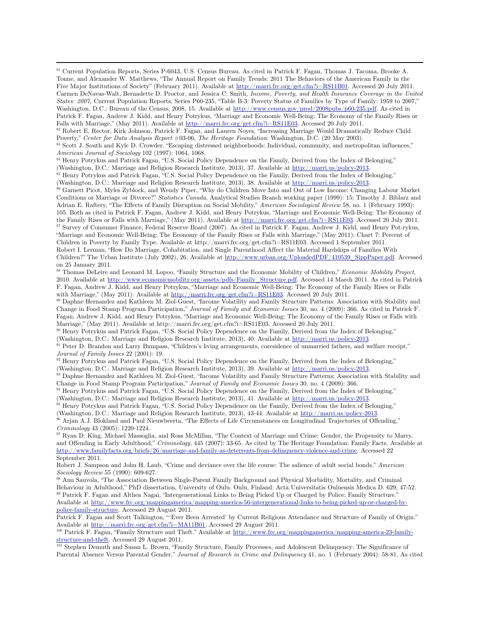81 Current Population Reports, Series P-6043, U.S. Census Bureau. As cited in Patrick F. Fagan, Thomas J. Tacoma, Brooke A. Tonne, and Alexander W. Matthews, "The Annual Report on Family Trends: 2011 The Behaviors of the American Family in the Five Major Institutions of Society" (February 2011). Available at http://marri.frc.org/get.cfm?i=RS11B01. Accessed 20 July 2011. Carmen DeNavas-Walt, Bernadette D. Proctor, and Jessica C. Smith, *Income, Poverty, and Health Insurance Coverage in the United States: 2007,* Current Population Reports, Series P60-235, "Table B-3: Poverty Status of Families by Type of Family: 1959 to 2007," Washington, D.C.: Bureau of the Census, 2008, 15. Available at http://www.census.gov/prod/2008pubs/p60-235.pdf. As cited in Patrick F. Fagan, Andrew J. Kidd, and Henry Potrykus, "Marriage and Economic Well-Being: The Economy of the Family Rises or Falls with Marriage," (May 2011). Available at http://marri.frc.org/get.cfm?i=RS11E03. Accessed 20 July 2011.<br><sup>82</sup> Robert E. Rector, Kirk Johnson, Patrick F. Fagan, and Lauren Noyes, "Increasing Marriage Would Dramatically

Poverty," Center for Data Analysis Report #03-06, The Heritage Foundation: Washington, D.C. (20 May 2003).<br><sup>83</sup> Scott J. South and Kyle D. Crowder, "Escaping distressed neighborhoods: Individual, community, and metropolita

*American Journal of Sociology* 102 (1997): 1064, 1068. **Dependence on the Family, Derived from the Index of Belonging,"** <sup>84</sup> Henry Potrykus and Patrick Fagan, "U.S. Social Policy Dependence on the Family, Derived from th

 $\overline{a}$ 

(Washington, D.C.: Marriage and Religion Research Institute, 2013), 37. Available at  $\frac{http://marri.us/policy-2013}{http://marri.us/policy-2013}$ .<br><sup>85</sup> Henry Potrykus and Patrick Fagan, "U.S. Social Policy Dependence on the Family, Derived from the

<sup>6</sup> Garnett Picot, Myles Zyblock, and Wendy Piper, "Why do Children Move Into and Out of Low Income: Changing Labour Market Conditions or Marriage or Divorce?" *Statistics Canada*, Analytical Studies Branch working paper (1999): 15; Timothy J. Biblarz and Adrian E. Raftery, "The Effects of Family Disruption on Social Mobility," *American Sociological Review* 58, no. 1 (February 1993): 105. Both as cited in Patrick F. Fagan, Andrew J. Kidd, and Henry Potrykus, "Marriage and Economic Well-Being: The Economy of the Family Rises or Falls with Marriage," (May 2011). Available at  $\frac{http://marri.fr.c.org/get.cfm?i=RS11E03}$ . <sup>87</sup> Survey of Consumer Finance, Federal Reserve Board (2007). As cited in Patrick F. Fagan, Andrew J. Kidd, and Henry Pot-rykus, "Marriage and Economic Well-Being: The Economy of the Family Rises or Falls with Marriage," (May 2011): Chart 7: Percent of Children in Poverty by Family Type. Available at http://marri.frc.org/get.cfm?i=RS11E03. Accessed 1 September 2011. Robert I. Lerman, "How Do Marriage, Cohabitation, and Single Parenthood Affect the Material Hardships of Families With Children?" The Urban Institute (July 2002), 26. Available at http://www.urban.org/UploadedPDF/410539\_SippPaper.pdf. Accessed on 25 January 2011.

88 Thomas DeLeire and Leonard M. Lopoo, "Family Structure and the Economic Mobility of Children," *Economic Mobility Project*, 2010. Available at http://www.economicmobility.org/assets/pdfs/Family\_Structure.pdf. Accessed 14 March 2011. As cited in Patrick F. Fagan, Andrew J. Kidd, and Henry Potrykus, "Marriage and Economic Well-Being: The Economy of the Family Rises or Falls with Marriage," (May 2011). Available at  $\frac{http://marri.fr.c.org/get.cfm?i=RS11E03}{http://marri.fr.c.org/get.cfm?i=RS11E03}$ . Accessed 20 July 2011.<br><sup>89</sup> Daphne Hernandez and Kathleen M. Ziol-Guest, "Income Volatility and Family Structure Patterns: Associat

Change in Food Stamp Program Participation," *Journal of Family and Economic Issues* 30, no. 4 (2009): 366. As cited in Patrick F. Fagan, Andrew J. Kidd, and Henry Potrykus, "Marriage and Economic Well-Being: The Economy of the Family Rises or Falls with Marriage," (May 2011). Available at http://marri.frc.org/get.cfm?i=RS11E03. Accessed 20 July 2011.

90 Henry Potrykus and Patrick Fagan, "U.S. Social Policy Dependence on the Family, Derived from the Index of Belonging,"

(Washington, D.C.: Marriage and Religion Research Institute, 2013), 40. Available at  $\frac{\text{http://marri.us/policy-2013}}{\text{Peter D. Brandon and Larry Bumpass}}$ , "Children's living arrangements, coresidence of unmarried fathers, and welfare receipt,"<br>Journal

<sup>92</sup> Henry Potrykus and Patrick Fagan, "U.S. Social Policy Dependence on the Family, Derived from the Index of Belonging,"

(Washington, D.C.: Marriage and Religion Research Institute, 2013), 39. Available at  $\frac{http://marri.us/policy-2013}{http://marri.us/policy-2013}$ .<br><sup>93</sup> Daphne Hernandez and Kathleen M. Ziol-Guest, "Income Volatility and Family Structure Patterns: A

94 Henry Potrykus and Patrick Fagan, "U.S. Social Policy Dependence on the Family, Derived from the Index of Belonging,"

(Washington, D.C.: Marriage and Religion Research Institute, 2013), 41. Available at  $\frac{http://marri.us/policy-2013}{http://marri.us/policy-2013}$ .<br><sup>95</sup> Henry Potrykus and Patrick Fagan, "U.S. Social Policy Dependence on the Family, Derived from the

 $^{96}$  Arjan A.J. Blokland and Paul Nieuwbeerta, "The Effects of Life Circumstances on Longitudinal Trajectories of Offending,"<br>Criminology 43 (2005): 1220-1224.

<sup>97</sup> Ryan D. King, Michael Massoglia, and Ross McMillan, "The Context of Marriage and Crime: Gender, the Propensity to Marry, and Offending in Early Adulthood," *Criminology*, 445 (2007): 33-65. As cited by The Heritage Foundation: Family Facts. Available at http://www.familyfacts.org/briefs/26/marriage-and-family-as-deterrents-from-delinquency-violence-and-crime. Accessed 22 September 2011.

Robert J. Sampson and John H. Laub, "Crime and deviance over the life course: The salience of adult social bonds," *American Sociology Review* 55 (1990): 609-627.<br><sup>98</sup> Anu Sauvola, "The Association Between Single-Parent Family Background and Physical Morbidity, Mortality, and Criminal

Behaviour in Adulthood," PhD dissertation, University of Oulu. Oulu, Finland: Acta Universitatis Ouluensis Medica D. 629, 47-52.<br><sup>99</sup> Patrick F. Fagan and Althea Nagai, "Intergenerational Links to Being Picked Up or Charge Available at http://www.frc.org/mappingamerica/mapping-america-56-intergenerational-links-to-being-picked-up-or-charged-bypolice-family-structure. Accessed 29 August 2011.

Patrick F. Fagan and Scott Talkington, "'Ever Been Arrested' by Current Religious Attendance and Structure of Family of Origin." Available at http://marri.frc.org/get.cfm?i=MA11B01. Accessed 29 August 2011.<br><sup>100</sup> Patrick F. Fagan, "Family Structure and Theft." Available at http://www.frc.org/mappingamerica/mapping-america-23-family-

structure-and-theft. Accessed 29 August 2011.<br><sup>101</sup> Stephen Demuth and Susan L. Brown, "Family Structure, Family Processes, and Adolescent Delinquency: The Significance of

Parental Absence Versus Parental Gender," *Journal of Research in Crime and Delinquency* 41, no. 1 (February 2004): 58-81. As cited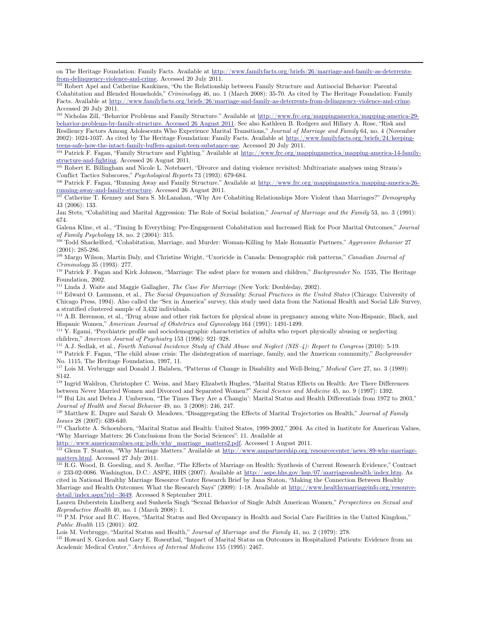on The Heritage Foundation: Family Facts. Available at http://www.familyfacts.org/briefs/26/marriage-and-family-as-deterrents-

from-delinquency-violence-and-crime. Accessed 20 July 2011. 102 Robert Apel and Catherine Kaukinen, "On the Relationship between Family Structure and Antisocial Behavior: Parental Cohabitation and Blended Households," *Criminology* 46, no. 1 (March 2008): 35-70. As cited by The Heritage Foundation: Family Facts. Available at http://www.familyfacts.org/briefs/26/marriage-and-family-as-deterrents-from-delinquency-violence-and-crime. Accessed 20 July 2011.

<sup>103</sup> Nicholas Zill, "Behavior Problems and Family Structure." Available at http://www.frc.org/mappingamerica/mapping-america-29behavior-problems-by-family-structure. Accessed 26 August 2011. See also Kathleen B. Rodgers and Hillary A. Rose, "Risk and Resiliency Factors Among Adolescents Who Experience Marital Transitions," *Journal of Marriage and Family* 64, no. 4 (November 2002): 1024-1037. As cited by The Heritage Foundation: Family Facts. Available at http://www.familyfacts.org/briefs/24/keepingteens-safe-how-the-intact-family-buffers-against-teen-substance-use. Accessed 20 July 2011. 104 Patrick F. Fagan, "Family Structure and Fighting." Available at http://www.frc.org/mappingamerica/mapping-america-14-family-

structure-and-fighting. Accessed 26 August 2011. 105 Robert E. Billingham and Nicole L. Notebaert, "Divorce and dating violence revisited: Multivariate analyses using Straus's

Conflict Tactics Subscores," *Psychological Reports* 73 (1993): 679-684.<br><sup>106</sup> Patrick F. Fagan, "Running Away and Family Structure." Available at http://www.frc.org/mappingamerica/mapping-america-26-

running-away-and-family-structure. Accessed 26 August 2011. 107 Catherine T. Kenney and Sara S. McLanahan, "Why Are Cohabiting Relationships More Violent than Marriages?" *Demography* 

43 (2006): 133.

Jan Stets, "Cohabiting and Marital Aggression: The Role of Social Isolation," *Journal of Marriage and the Family* 53, no. 3 (1991): 674.

Galena Kline, et al., "Timing Is Everything: Pre-Engagement Cohabitation and Increased Risk for Poor Marital Outcomes," *Journal of Family Psychology* 18, no. 2 (2004): 315. 108 Todd Shackelford, "Cohabitation, Marriage, and Murder: Woman-Killing by Male Romantic Partners," *Aggressive Behavior* <sup>27</sup>

(2001): 285-286.

109 Margo Wilson, Martin Daly, and Christine Wright, "Uxoricide in Canada: Demographic risk patterns," *Canadian Journal of* 

*Criminology* 35 (1993): 277. 110 Patrick F. Fagan and Kirk Johnson, "Marriage: The safest place for women and children," *Backgrounder* No. 1535, The Heritage Foundation, 2002.<br> $^{111}$  Linda J. Waite and Maggie Gallagher,  $\emph{The Case For Martinez}$  (New York: Doubleday, 2002).

 $\overline{a}$ 

<sup>112</sup> Edward O. Laumann, et al., *The Social Organization of Sexuality: Sexual Practices in the United States* (Chicago: University of Chicago Press, 1994). Also called the "Sex in America" survey, this study used data from the National Health and Social Life Survey, a stratified clustered sample of 3,432 individuals.

113 A.B. Berenson, et al., "Drug abuse and other risk factors for physical abuse in pregnancy among white Non-Hispanic, Black, and Hispanic Women," *American Journal of Obstetrics and Gynecology* 164 (1991): 1491-1499.<br><sup>114</sup> Y. Egami, "Psychiatric profile and sociodemographic characteristics of adults who report physically abusing or neglecting

children," American Journal of Psychiatry 153 (1996): 921–928.<br><sup>115</sup> A.J. Sedlak, et al., *Fourth National Incidence Study of Child Abuse and Neglect (NIS–4): Report to Congress (2010): 5-19.*<br><sup>116</sup> Patrick F. Fagan, "The

No. 1115, The Heritage Foundation, 1997, 11. 117 Lois M. Verbrugge and Donald J. Balaben, "Patterns of Change in Disability and Well-Being," *Medical Care* 27, no. 3 (1989): S142.

<sup>118</sup> Ingrid Waldron, Christopher C. Weiss, and Mary Elizabeth Hughes, "Marital Status Effects on Health: Are There Differences between Never Married Women and Divorced and Separated Women?" Social Science and Medicine 45,

<sup>119</sup> Hui Liu and Debra J. Umberson, "The Times They Are a Changin': Marital Status and Health Differentials from 1972 to 2003,"

*Journal of Health and Social Behavior* 49, no. 3 (2008): 246, 247.<br><sup>120</sup> Matthew E. Dupre and Sarah O. Meadows, "Disaggregating the Effects of Marital Trajectories on Health," *Journal of Family Issues* 28 (2007): 639-640.<br><sup>121</sup> Charlotte A. Schoenborn, "Marital Status and Health: United States, 1999-2002," 2004. As cited in Institute for American Values,

"Why Marriage Matters: 26 Conclusions from the Social Sciences": 11. Available at

http://www.americanvalues.org/pdfs/why\_marriage\_matters2.pdf. Accessed 1 August 2011.

122 Glenn T. Stanton, "Why Marriage Matters." Available at http://www.ampartnership.org/resourcecenter/news/89-why-marriagematters.html. Accessed 27 July 2011.<br><sup>123</sup> R.G. Wood, B. Goesling, and S. Avellar, "The Effects of Marriage on Health: Synthesis of Current Research Evidence," Contract

# 233-02-0086. Washington, D.C.: ASPE, HHS (2007). Available at http://aspe.hhs.gov/hsp/07/marriageonhealth/index.htm. As cited in National Healthy Marriage Resource Center Research Brief by Jana Staton, "Making the Connection Between Healthy Marriage and Health Outcomes: What the Research Says" (2009): 1-18. Available at http://www.healthymarriageinfo.org/resourcedetail/index.aspx?rid=3649. Accessed 8 September 2011.

Lauren Duberstein Lindberg and Susheela Singh "Sexual Behavior of Single Adult American Women," *Perspectives on Sexual and* 

*Reproductive Health* 40, no. 1 (March 2008): 1.<br><sup>124</sup> P.M. Prior and B.C. Hayes, "Marital Status and Bed Occupancy in Health and Social Care Facilities in the United Kingdom," *Public Health* 115 (2001): 402.

Lois M. Verbrugge, "Marital Status and Health," Journal of Marriage and the Family 41, no. 2 (1979): 278.<br><sup>125</sup> Howard S. Gordon and Gary E. Rosenthal, "Impact of Marital Status on Outcomes in Hospitalized Patients: Evide Academic Medical Center," *Archives of Internal Medicine* 155 (1995): 2467.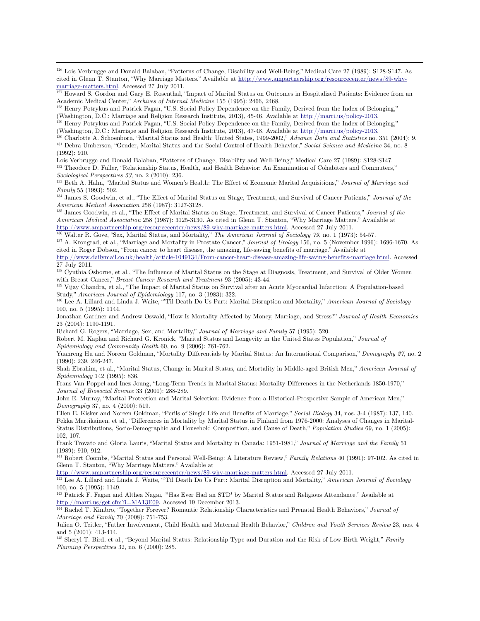126 Lois Verbrugge and Donald Balaban, "Patterns of Change, Disability and Well-Being," Medical Care 27 (1989): S128-S147. As cited in Glenn T. Stanton, "Why Marriage Matters." Available at http://www.ampartnership.org/resourcecenter/news/89-whymarriage-matters.html. Accessed 27 July 2011.<br><sup>127</sup> Howard S. Gordon and Gary E. Rosenthal, "Impact of Marital Status on Outcomes in Hospitalized Patients: Evidence from an

Academic Medical Center," *Archives of Internal Medicine* 155 (1995): 2466, 2468.<br><sup>128</sup> Henry Potrykus and Patrick Fagan, "U.S. Social Policy Dependence on the Family, Derived from the Index of Belonging,"

(Washington, D.C.: Marriage and Religion Research Institute, 2013), 45-46. Available at  $\underline{\text{http://marri.us/policy-2013}}$ .<br><sup>129</sup> Henry Potrykus and Patrick Fagan, "U.S. Social Policy Dependence on the Family, Derived from the Index

(Washington, D.C.: Marriage and Religion Research Institute, 2013), 47-48. Available at <u>http://marri.us/policy-2013</u>.<br><sup>130</sup> Charlotte A. Schoenborn, "Marital Status and Health: United States, 1999-2002," Advance Data and (1992): 910.

Lois Verbrugge and Donald Balaban, "Patterns of Change, Disability and Well-Being," Medical Care 27 (1989): S128-S147.<br><sup>132</sup> Theodore D. Fuller, "Relationship Status, Health, and Health Behavior: An Examination of Cohabite

*Sociological Perspectives 53*, no. 2 (2010): 236.<br><sup>133</sup> Beth A. Hahn, "Marital Status and Women's Health: The Effect of Economic Marital Acquisitions," *Journal of Marriage and* 

*Family* 55 (1993): 502.<br><sup>134</sup> James S. Goodwin, et al., "The Effect of Marital Status on Stage, Treatment, and Survival of Cancer Patients," *Journal of the* 

*American Medical Association* 258 (1987): 3127-3128.<br><sup>135</sup> James Goodwin, et al., "The Effect of Marital Status on Stage, Treatment, and Survival of Cancer Patients," *Journal of the American Medical Association* 258 (1987): 3125-3130. As cited in Glenn T. Stanton, "Why Marriage Matters." Available at http://www.ampartnership.org/resourcecenter/news/89-why-marriage-matters.html. Accessed 27 July 2011.

<sup>136</sup> Walter R. Gove, "Sex, Marital Status, and Mortality," *The American Journal of Sociology 79*, no. 1 (1973): 54-57.<br><sup>137</sup> A. Krongrad, et al., "Marriage and Mortality in Prostate Cancer," *Journal of Urology* 156, no

cited in Roger Dobson, "From cancer to heart disease, the amazing, life-saving benefits of marriage." Available at http://www.dailymail.co.uk/health/article-1049134/From-cancer-heart-disease-amazing-life-saving-benefits-marriage.html. Accessed

27 July 2011.

 $\overline{a}$ 

138 Cynthia Osborne, et al., "The Influence of Marital Status on the Stage at Diagnosis, Treatment, and Survival of Older Women

with Breast Cancer," *Breast Cancer Research and Treatment* 93 (2005): 43-44.<br><sup>139</sup> Vijay Chandra, et al., "The Impact of Marital Status on Survival after an Acute Myocardial Infarction: A Population-based Study," *American Journal of Epidemiology* 117, no. 3 (1983): 322.<br><sup>140</sup> Lee A. Lillard and Linda J. Waite, "Til Death Do Us Part: Marital Disruption and Mortality," *American Journal of Sociology* 

100, no. 5 (1995): 1144.

Jonathan Gardner and Andrew Oswald, "How Is Mortality Affected by Money, Marriage, and Stress?" *Journal of Health Economics*  23 (2004): 1190-1191.

Richard G. Rogers, "Marriage, Sex, and Mortality," *Journal of Marriage and Family* 57 (1995): 520.

Robert M. Kaplan and Richard G. Kronick, "Marital Status and Longevity in the United States Population," *Journal of Epidemiology and Community Health* 60, no. 9 (2006): 761-762.

Yuanreng Hu and Noreen Goldman, "Mortality Differentials by Marital Status: An International Comparison," *Demography 27*, no. 2 (1990): 239, 246-247.

Shah Ebrahim, et al., "Marital Status, Change in Marital Status, and Mortality in Middle-aged British Men," *American Journal of Epidemiology* 142 (1995): 836.

Frans Van Poppel and Inez Joung, "Long-Term Trends in Marital Status: Mortality Differences in the Netherlands 1850-1970," *Journal of Biosocial Science* 33 (2001): 288-289.

John E. Murray, "Marital Protection and Marital Selection: Evidence from a Historical-Prospective Sample of American Men," *Demography* 37, no. 4 (2000): 519.

Ellen E. Kisker and Noreen Goldman, "Perils of Single Life and Benefits of Marriage," *Social Biology* 34, nos. 3-4 (1987): 137, 140. Pekka Martikainen, et al., "Differences in Mortality by Marital Status in Finland from 1976-2000: Analyses of Changes in Marital-Status Distributions, Socio-Demographic and Household Composition, and Cause of Death," *Population Studies* 69, no. 1 (2005): 102, 107.

Frank Trovato and Gloria Lauris, "Marital Status and Mortality in Canada: 1951-1981," *Journal of Marriage and the Family* 51 (1989): 910, 912.

141 Robert Coombs, "Marital Status and Personal Well-Being: A Literature Review," *Family Relations* 40 (1991): 97-102. As cited in Glenn T. Stanton, "Why Marriage Matters." Available at

http://www.ampartnership.org/resourcecenter/news/89-why-marriage-matters.html. Accessed 27 July 2011.<br><sup>142</sup> Lee A. Lillard and Linda J. Waite, "Til Death Do Us Part: Marital Disruption and Mortality," American Journal of S 100, no. 5 (1995): 1149.

143 Patrick F. Fagan and Althea Nagai, "'Has Ever Had an STD' by Marital Status and Religious Attendance." Available at

http://marri.us/get.cfm?i=MA13E09. Accessed 19 December 2013. 144 Rachel T. Kimbro, "Together Forever? Romantic Relationship Characteristics and Prenatal Health Behaviors," *Journal of Marriage and Family* 70 (2008): 751-753.

Julien O. Teitler, "Father Involvement, Child Health and Maternal Health Behavior," *Children and Youth Services Review* 23, nos. 4 and 5 (2001): 413-414.

145 Sheryl T. Bird, et al., "Beyond Marital Status: Relationship Type and Duration and the Risk of Low Birth Weight," *Family Planning Perspectives* 32, no. 6 (2000): 285.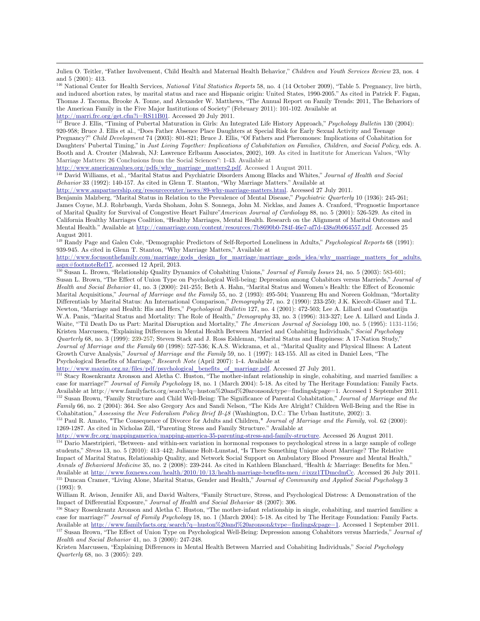Julien O. Teitler, "Father Involvement, Child Health and Maternal Health Behavior," *Children and Youth Services Review* 23, nos. 4 and 5 (2001): 413.

146 National Center for Health Services, *National Vital Statistics Reports* 58, no. 4 (14 October 2009), "Table 5. Pregnancy, live birth, and induced abortion rates, by marital status and race and Hispanic origin: United States, 1990-2005." As cited in Patrick F. Fagan, Thomas J. Tacoma, Brooke A. Tonne, and Alexander W. Matthews, "The Annual Report on Family Trends: 2011, The Behaviors of the American Family in the Five Major Institutions of Society" (February 2011): 101-102. Available at  $\frac{http://marri.fr.c.org/get.cfm?i=RS11B01}$ . Accessed 20 July 2011.

<sup>147</sup> Bruce J. Ellis, "Timing of Pubertal Maturation in Girls: An Integrated Life History Approach," *Psychology Bulletin* 130 (2004): 920-958; Bruce J. Ellis et al., "Does Father Absence Place Daughters at Special Risk for Early Sexual Activity and Teenage Pregnancy?" *Child Development* 74 (2003): 801-821; Bruce J. Ellis, "Of Fathers and Pheromones: Implications of Cohabitation for Daughters' Pubertal Timing," in *Just Living Together: Implications of Cohabitation on Families, Children, and Social Policy*, eds. A. Booth and A. Crouter (Mahwah, NJ: Lawrence Erlbaum Associates, 2002), 169. As cited in Institute for American Values, "Why Marriage Matters: 26 Conclusions from the Social Sciences": 1-43. Available at

http://www.americanvalues.org/pdfs/why\_marriage\_matters2.pdf. Accessed 1 August 2011.

 $\overline{a}$ 

148 David Williams, et al., "Marital Status and Psychiatric Disorders Among Blacks and Whites," *Journal of Health and Social Behavior* 33 (1992): 140-157. As cited in Glenn T. Stanton, "Why Marriage Matters." Available at

http://www.ampartnership.org/resourcecenter/news/89-why-marriage-matters.html. Accessed 27 July 2011.

Benjamin Malzberg, "Marital Status in Relation to the Prevalence of Mental Disease," *Psychiatric Quarterly* 10 (1936): 245-261; James Coyne, M.J. Rohrbaugh, Varda Shoham, John S. Sonnega, John M. Nicklas, and James A. Cranford, "Prognostic Importance of Marital Quality for Survival of Congestive Heart Failure"*American Journal of Cardiology* 88, no. 5 (2001): 526-529. As cited in California Healthy Marriages Coalition, "Healthy Marriages, Mental Health. Research on the Alignment of Marital Outcomes and Mental Health." Available at http://camarriage.com/content/resources/7b8690b0-784f-46e7-af7d-438a9b064557.pdf. Accessed 25 August 2011.

149 Randy Page and Galen Cole, "Demographic Predictors of Self-Reported Loneliness in Adults," *Psychological Reports* 68 (1991): 939-945. As cited in Glenn T. Stanton, "Why Marriage Matters," Available at

http://www.focusonthefamily.com/marriage/gods\_design\_for\_marriage/marriage\_gods\_idea/why\_marriage\_matters\_for\_adults.<br>aspx#footnoteRef17, accessed 12 April, 2013.

<sup>150</sup> Susan L. Brown, "Relationship Quality Dynamics of Cohabiting Unions," *Journal of Family Issues* 24, no. 5 (2003): 583-601; Susan L. Brown, "The Effect of Union Type on Psychological Well-being: Depression among Cohabitors versus Marrieds," *Journal of Health and Social Behavior* 41, no. 3 (2000): 241-255; Beth A. Hahn, "Marital Status and Women's Health: the Effect of Economic Marital Acquisitions," *Journal of Marriage and the Family* 55, no. 2 (1993): 495-504; Yuanreng Hu and Noreen Goldman, "Mortality Differentials by Marital Status: An International Comparison," *Demography* 27, no. 2 (1990): 233-250; J.K. Kiecolt-Glaser and T.L. Newton, "Marriage and Health: His and Hers," *Psychological Bulletin* 127, no. 4 (2001): 472-503; Lee A. Lillard and Constantijn W.A. Panis, "Marital Status and Mortality: The Role of Health," *Demography* 33, no. 3 (1996): 313-327; Lee A. Lillard and Linda J. Waite, "'Til Death Do us Part: Marital Disruption and Mortality," *The American Journal of Sociology* 100, no. 5 (1995): 1131-1156; Kristen Marcussen, "Explaining Differences in Mental Health Between Married and Cohabiting Individuals," *Social Psychology Quarterly* 68, no. 3 (1999): 239-257; Steven Stack and J. Ross Eshleman, "Marital Status and Happiness: A 17-Nation Study," *Journal of Marriage and the Family* 60 (1998): 527-536; K.A.S. Wickrama, et al., "Marital Quality and Physical Illness: A Latent Growth Curve Analysis," *Journal of Marriage and the Family* 59, no. 1 (1997): 143-155. All as cited in Daniel Lees, "The Psychological Benefits of Marriage," *Research Note* (April 2007): 1-4. Available at

http://www.maxim.org.nz/files/pdf/psychological\_benefits\_of\_marriage.pdf. Accessed 27 July 2011.

<sup>151</sup> Stacy Rosenkrantz Aronson and Aletha C. Huston, "The mother-infant relationship in single, cohabiting, and married families: a case for marriage?" *Journal of Family Psychology* 18, no. 1 (March 2004): 5-18. As cited by The Heritage Foundation: Family Facts. Available at http://www.familyfacts.org/search?q=huston%20and%20aronson&type=findings&page=1. Accessed 1 September 2011.<br><sup>152</sup> Susan Brown, "Family Structure and Child Well-Being: The Significance of Parental Cohabitation *Family* 66, no. 2 (2004): 364. See also Gregory Acs and Sandi Nelson, "The Kids Are Alright? Children Well-Being and the Rise in Cohabitation," Assessing the New Federalism Policy Brief B-48 (Washington, D.C.: The Urban Institute, 2002): 3.<br><sup>153</sup> Paul R. Amato, "The Consequence of Divorce for Adults and Children," Journal of Marriage and the Family,

1269-1287. As cited in Nicholas Zill, "Parenting Stress and Family Structure." Available at  $\frac{http://www.frc.org/mapping{america/mapping{-}america-35{parenting{-}stress-and-family-structure}}$ . Accessed 26 August 2011.

<sup>154</sup> Dario Maestripieri, "Between- and within-sex variation in hormonal responses to psychological stress in a large sample of college students," *Stress* 13, no. 5 (2010): 413–442; Julianne Holt-Lunstad, "Is There Something Unique about Marriage? The Relative Impact of Marital Status, Relationship Quality, and Network Social Support on Ambulatory Blood Pressure and Mental Health," *Annals of Behavioral Medicine* 35, no. 2 (2008): 239-244. As cited in Kathleen Blanchard, "Health & Marriage: Benefits for Men." Available at http://www.foxnews.com/health/2010/10/13/health-marriage-benefits-men/#ixzz1TDmcdmCc. Accessed 26 July 2011.<br><sup>155</sup> Duncan Cramer, "Living Alone, Marital Status, Gender and Health," Journal of Community and App (1993): 9.

William R. Avison, Jennifer Ali, and David Walters, "Family Structure, Stress, and Psychological Distress: A Demonstration of the Impact of Differential Exposure," Journal of Health and Social Behavior 48 (2007): 306.<br><sup>156</sup> Stacy Rosenkrantz Aronson and Aletha C. Huston, "The mother-infant relationship in single, cohabiting, and married families: a

case for marriage?" *Journal of Family Psychology* 18, no. 1 (March 2004): 5-18. As cited by The Heritage Foundation: Family Facts. Available at http://www.familyfacts.org/search?q=huston%20and%20aronson&type=findings&page=1. Accessed 1 September 2011.<br><sup>157</sup> Susan Brown, "The Effect of Union Type on Psychological Well-Being: Depression among Cohabitors *Health and Social Behavior* 41, no. 3 (2000): 247-248.

Kristen Marcussen, "Explaining Differences in Mental Health Between Married and Cohabiting Individuals," *Social Psychology Quarterly* 68, no. 3 (2005): 249.